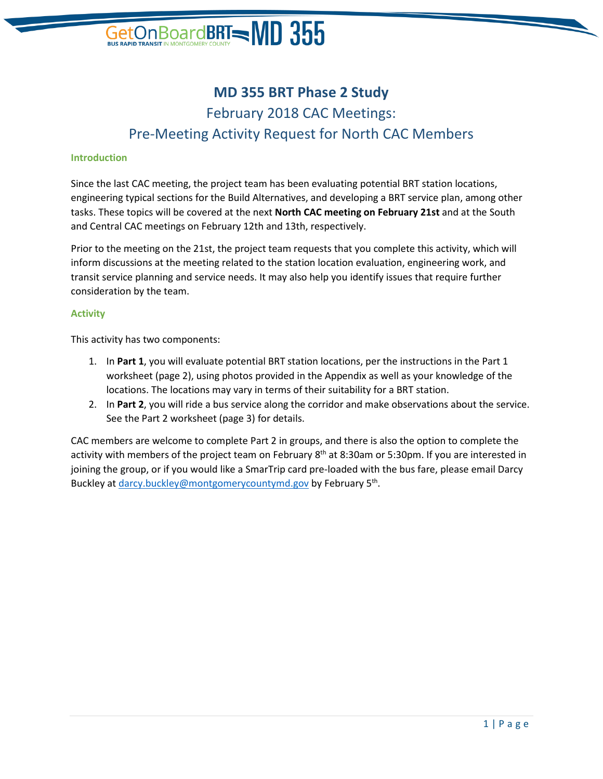# GetOn Board **BRT - MD 355**

# **MD 355 BRT Phase 2 Study** February 2018 CAC Meetings: Pre-Meeting Activity Request for North CAC Members

#### **Introduction**

Since the last CAC meeting, the project team has been evaluating potential BRT station locations, engineering typical sections for the Build Alternatives, and developing a BRT service plan, among other tasks. These topics will be covered at the next **North CAC meeting on February 21st** and at the South and Central CAC meetings on February 12th and 13th, respectively.

Prior to the meeting on the 21st, the project team requests that you complete this activity, which will inform discussions at the meeting related to the station location evaluation, engineering work, and transit service planning and service needs. It may also help you identify issues that require further consideration by the team.

#### **Activity**

This activity has two components:

- 1. In **Part 1**, you will evaluate potential BRT station locations, per the instructions in the Part 1 worksheet (page 2), using photos provided in the Appendix as well as your knowledge of the locations. The locations may vary in terms of their suitability for a BRT station.
- 2. In **Part 2**, you will ride a bus service along the corridor and make observations about the service. See the Part 2 worksheet (page 3) for details.

CAC members are welcome to complete Part 2 in groups, and there is also the option to complete the activity with members of the project team on February 8<sup>th</sup> at 8:30am or 5:30pm. If you are interested in joining the group, or if you would like a SmarTrip card pre-loaded with the bus fare, please email Darcy Buckley at **darcy.buckley@montgomerycountymd.gov** by February 5<sup>th</sup>.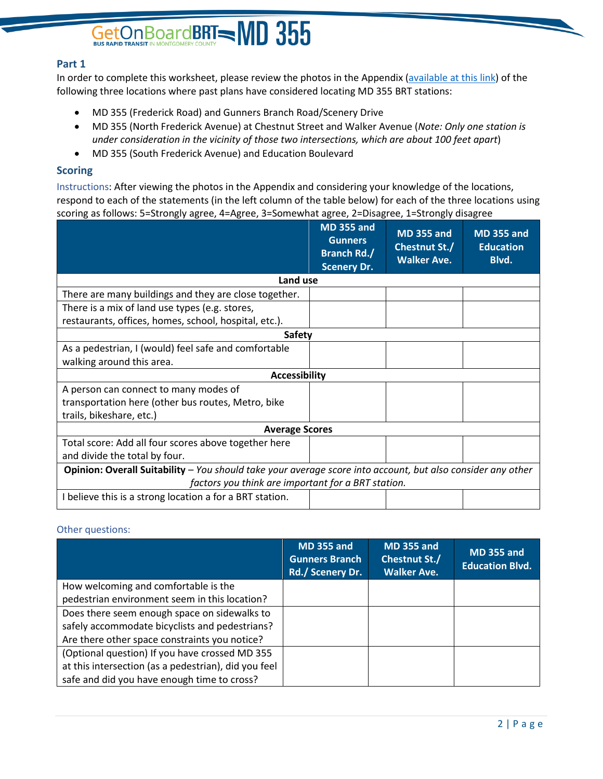# GetOn Board BRT NON CONTROLLERY COUNTY

## **Part 1**

In order to complete this worksheet, please review the photos in the Appendix [\(available at](http://files.constantcontact.com/9fee5db5401/1e30ab2f-cd0e-4d64-b4de-e019c7bca140.pdf) this link) of the following three locations where past plans have considered locating MD 355 BRT stations:

- MD 355 (Frederick Road) and Gunners Branch Road/Scenery Drive
- MD 355 (North Frederick Avenue) at Chestnut Street and Walker Avenue (*Note: Only one station is under consideration in the vicinity of those two intersections, which are about 100 feet apart*)
- MD 355 (South Frederick Avenue) and Education Boulevard

### **Scoring**

Instructions: After viewing the photos in the Appendix and considering your knowledge of the locations, respond to each of the statements (in the left column of the table below) for each of the three locations using scoring as follows: 5=Strongly agree, 4=Agree, 3=Somewhat agree, 2=Disagree, 1=Strongly disagree

|                                                                                                             | <b>MD 355 and</b><br><b>Gunners</b><br><b>Branch Rd./</b><br><b>Scenery Dr.</b> | <b>MD 355 and</b><br>Chestnut St./<br><b>Walker Ave.</b> | <b>MD 355 and</b><br><b>Education</b><br>Blvd. |  |
|-------------------------------------------------------------------------------------------------------------|---------------------------------------------------------------------------------|----------------------------------------------------------|------------------------------------------------|--|
| Land use                                                                                                    |                                                                                 |                                                          |                                                |  |
| There are many buildings and they are close together.                                                       |                                                                                 |                                                          |                                                |  |
| There is a mix of land use types (e.g. stores,                                                              |                                                                                 |                                                          |                                                |  |
| restaurants, offices, homes, school, hospital, etc.).                                                       |                                                                                 |                                                          |                                                |  |
| <b>Safety</b>                                                                                               |                                                                                 |                                                          |                                                |  |
| As a pedestrian, I (would) feel safe and comfortable                                                        |                                                                                 |                                                          |                                                |  |
| walking around this area.                                                                                   |                                                                                 |                                                          |                                                |  |
| <b>Accessibility</b>                                                                                        |                                                                                 |                                                          |                                                |  |
| A person can connect to many modes of                                                                       |                                                                                 |                                                          |                                                |  |
| transportation here (other bus routes, Metro, bike                                                          |                                                                                 |                                                          |                                                |  |
| trails, bikeshare, etc.)                                                                                    |                                                                                 |                                                          |                                                |  |
| <b>Average Scores</b>                                                                                       |                                                                                 |                                                          |                                                |  |
| Total score: Add all four scores above together here                                                        |                                                                                 |                                                          |                                                |  |
| and divide the total by four.                                                                               |                                                                                 |                                                          |                                                |  |
| Opinion: Overall Suitability - You should take your average score into account, but also consider any other |                                                                                 |                                                          |                                                |  |
| factors you think are important for a BRT station.                                                          |                                                                                 |                                                          |                                                |  |
| I believe this is a strong location a for a BRT station.                                                    |                                                                                 |                                                          |                                                |  |

### Other questions:

|                                                      | <b>MD 355 and</b><br><b>Gunners Branch</b><br>Rd./ Scenery Dr. | <b>MD 355 and</b><br>Chestnut St./<br><b>Walker Ave.</b> | <b>MD 355 and</b><br><b>Education Blvd.</b> |
|------------------------------------------------------|----------------------------------------------------------------|----------------------------------------------------------|---------------------------------------------|
| How welcoming and comfortable is the                 |                                                                |                                                          |                                             |
| pedestrian environment seem in this location?        |                                                                |                                                          |                                             |
| Does there seem enough space on sidewalks to         |                                                                |                                                          |                                             |
| safely accommodate bicyclists and pedestrians?       |                                                                |                                                          |                                             |
| Are there other space constraints you notice?        |                                                                |                                                          |                                             |
| (Optional question) If you have crossed MD 355       |                                                                |                                                          |                                             |
| at this intersection (as a pedestrian), did you feel |                                                                |                                                          |                                             |
| safe and did you have enough time to cross?          |                                                                |                                                          |                                             |